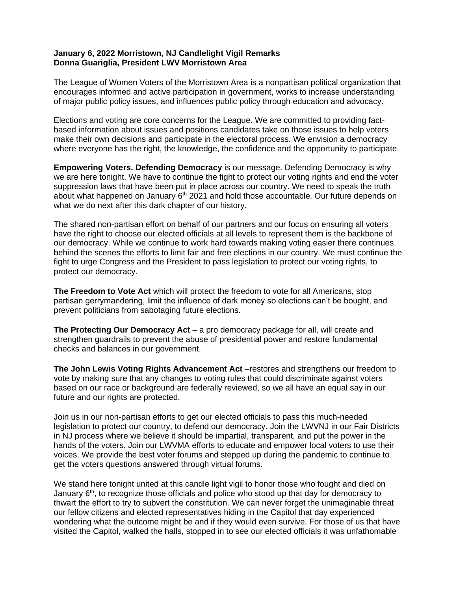## **January 6, 2022 Morristown, NJ Candlelight Vigil Remarks Donna Guariglia, President LWV Morristown Area**

The League of Women Voters of the Morristown Area is a nonpartisan political organization that encourages informed and active participation in government, works to increase understanding of major public policy issues, and influences public policy through education and advocacy.

Elections and voting are core concerns for the League. We are committed to providing factbased information about issues and positions candidates take on those issues to help voters make their own decisions and participate in the electoral process. We envision a democracy where everyone has the right, the knowledge, the confidence and the opportunity to participate.

**Empowering Voters. Defending Democracy** is our message. Defending Democracy is why we are here tonight. We have to continue the fight to protect our voting rights and end the voter suppression laws that have been put in place across our country. We need to speak the truth about what happened on January  $6<sup>th</sup>$  2021 and hold those accountable. Our future depends on what we do next after this dark chapter of our history.

The shared non-partisan effort on behalf of our partners and our focus on ensuring all voters have the right to choose our elected officials at all levels to represent them is the backbone of our democracy. While we continue to work hard towards making voting easier there continues behind the scenes the efforts to limit fair and free elections in our country. We must continue the fight to urge Congress and the President to pass legislation to protect our voting rights, to protect our democracy.

**The Freedom to Vote Act** which will protect the freedom to vote for all Americans, stop partisan gerrymandering, limit the influence of dark money so elections can't be bought, and prevent politicians from sabotaging future elections.

**The Protecting Our Democracy Act** – a pro democracy package for all, will create and strengthen guardrails to prevent the abuse of presidential power and restore fundamental checks and balances in our government.

**The John Lewis Voting Rights Advancement Act** –restores and strengthens our freedom to vote by making sure that any changes to voting rules that could discriminate against voters based on our race or background are federally reviewed, so we all have an equal say in our future and our rights are protected.

Join us in our non-partisan efforts to get our elected officials to pass this much-needed legislation to protect our country, to defend our democracy. Join the LWVNJ in our Fair Districts in NJ process where we believe it should be impartial, transparent, and put the power in the hands of the voters. Join our LWVMA efforts to educate and empower local voters to use their voices. We provide the best voter forums and stepped up during the pandemic to continue to get the voters questions answered through virtual forums.

We stand here tonight united at this candle light vigil to honor those who fought and died on January 6<sup>th</sup>, to recognize those officials and police who stood up that day for democracy to thwart the effort to try to subvert the constitution. We can never forget the unimaginable threat our fellow citizens and elected representatives hiding in the Capitol that day experienced wondering what the outcome might be and if they would even survive. For those of us that have visited the Capitol, walked the halls, stopped in to see our elected officials it was unfathomable